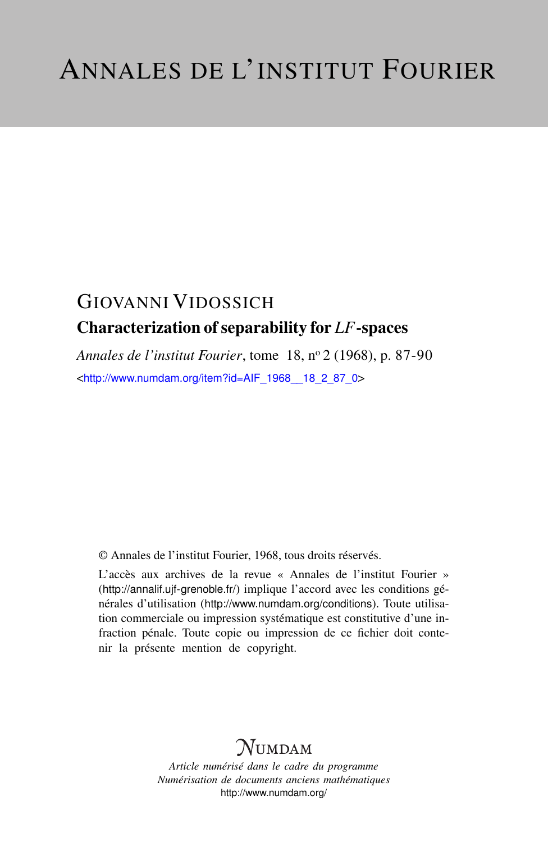## GIOVANNI VIDOSSICH Characterization of separability for *LF*-spaces

*Annales de l'institut Fourier*, tome 18, n<sup>o</sup> 2 (1968), p. 87-90 <[http://www.numdam.org/item?id=AIF\\_1968\\_\\_18\\_2\\_87\\_0](http://www.numdam.org/item?id=AIF_1968__18_2_87_0)>

© Annales de l'institut Fourier, 1968, tous droits réservés.

L'accès aux archives de la revue « Annales de l'institut Fourier » (<http://annalif.ujf-grenoble.fr/>) implique l'accord avec les conditions générales d'utilisation (<http://www.numdam.org/conditions>). Toute utilisation commerciale ou impression systématique est constitutive d'une infraction pénale. Toute copie ou impression de ce fichier doit contenir la présente mention de copyright.

# NUMDAM

*Article numérisé dans le cadre du programme Numérisation de documents anciens mathématiques* <http://www.numdam.org/>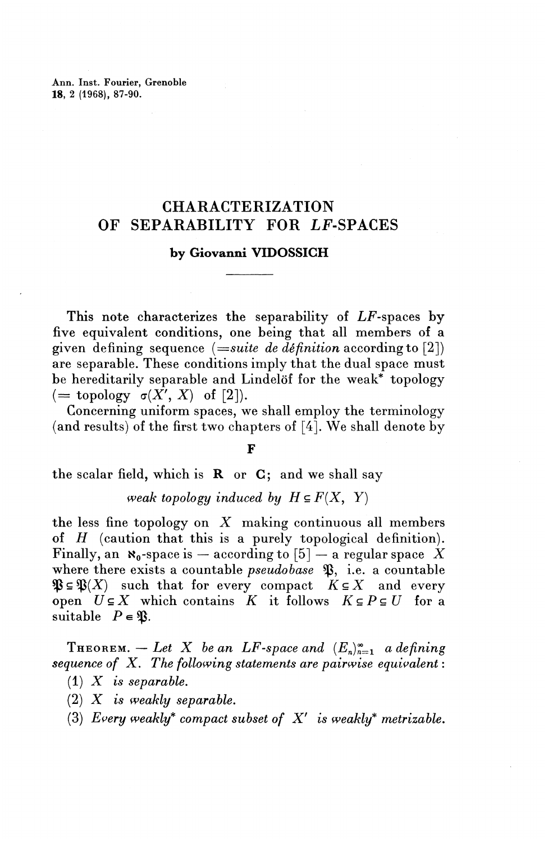Ann. Inst. Fourier, Grenoble **18,** 2 (1968), 87-90.

### CHARACTERIZATION OF SEPARABILITY FOR LF-SPACES

#### **by Giovanni VIDOSSICH**

This note characterizes the separability of LF-spaces by five equivalent conditions, one being that all members of a given defining sequence *(==suite de definition* according to [2]) are separable. These conditions imply that the dual space must be hereditarily separable and Lindelöf for the weak\* topology  $($  = topology  $\sigma(X', X)$  of [2]).

Concerning uniform spaces, we shall employ the terminology (and results) of the first two chapters of [4]. We shall denote by

#### **F**

the scalar field, which is  $R$  or  $C$ ; and we shall say

*weak topology induced by*  $H \subseteq F(X, Y)$ 

the less fine topology on *X* making continuous all members of *H* (caution that this is a purely topological definition).  $\operatorname{Finally, an}\ \textbf{$\mathbf x_0$-space is -- according to $[5]-$ a regular space}\ \stackrel{\checkmark}{X}$ where there exists a countable *pseudobase* **9**, i.e. a countable  $\mathfrak{B} \subseteq \mathfrak{B}(X)$  such that for every compact  $K \subseteq X$  and every open  $U \subseteq X$  which contains  $K$  it follows  $K \subseteq P \subseteq U$  for a suitable  $P \in \mathfrak{B}$ .

**THEOREM.** — Let X be an LF-space and  $(E_n)_{n=1}^{\infty}$  a defining *sequence of X. The following statements are pairwise equivalent:* (1) *X is separable.*

- (2) *X is weakly separable.*
- (3) Every weakly\* compact subset of  $X'$  is weakly\* metrizable.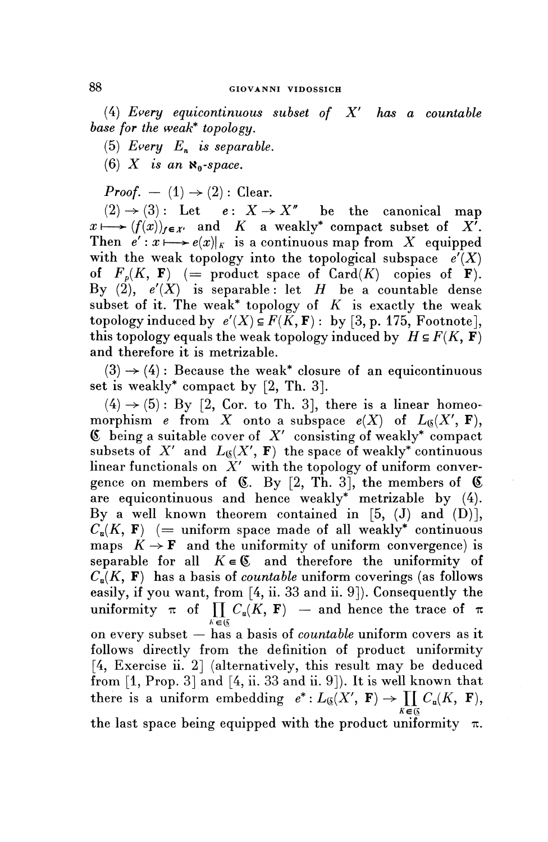#### **GIOVANNI VIDOSSICH**

(4) *Every equicontinuous subset of X ' has a countable base for the weak\* topology.*

(5) *Every*  $E_n$  *is separable.* 

(6)  $X$  is an  $\aleph_0$ -space.

*Proof.* - (1)  $\rightarrow$  (2) : Clear.

 $(2) \rightarrow (3)$ : Let  $e: X \rightarrow X''$  be the canonical map  $x \mapsto (f(x))_{f \in X'}$  and K a weakly\* compact subset of  $X<sup>T</sup>$ . Then  $e' : x \longmapsto e(x)|_K$  is a continuous map from X equipped with the weak topology into the topological subspace  $e'(X)$ of  $F_p(K, \mathbf{F})$  (= product space of Card(K) copies of **F**). By  $(2)$ ,  $e'(X)$  is separable: let H be a countable dense subset of it. The weak\* topology of  $K$  is exactly the weak topology induced by  $e'(X) \subseteq F(K, \mathbf{F})$ : by [3, p. 175, Footnote], this topology equals the weak topology induced by  $H \subseteq F(K, \mathbf{F})$ and therefore it is metrizable.

 $(3) \rightarrow (4)$ : Because the weak<sup>\*</sup> closure of an equicontinuous set is weakly\* compact by [2, Th. 3].

 $(4) \rightarrow (5)$ : By [2, Cor. to Th. 3], there is a linear homeomorphism *e* from X onto a subspace  $e(X)$  of  $L_6(X', F)$ , ® being a suitable cover of *X'* consisting of weakly\* compact subsets of  $X'$  and  $L_{\mathfrak{G}}(X', \mathbf{F})$  the space of weakly<sup>\*</sup> continuous linear functionals on *X'* with the topology of uniform convergence on members of  $\mathfrak{C}$ . By [2, Th. 3], the members of  $\mathfrak{C}$ are equicontinuous and hence weakly\* metrizable by (4). By a well known theorem contained in  $[5, (J)$  and  $(D)$ ],  $C_n(K, F)$  (= uniform space made of all weakly\* continuous maps  $K \rightarrow \mathbf{F}$  and the uniformity of uniform convergence) is separable for all  $K \in \mathfrak{C}$  and therefore the uniformity of  $C_n(K, \mathbf{F})$  has a basis of *countable* uniform coverings (as follows easily, if you want, from [4, ii. 33 and ii. 9]). Consequently the uniformity  $\pi$  of  $\prod_{k \in \mathfrak{G}} C_{\mathfrak{u}}(K, F)$  – and hence the trace of  $\pi$ on every subset — has a basis of *countable* uniform covers as it follows directly from the definition of product uniformity [4, Exercise ii. 2] (alternatively, this result may be deduced from [1, Prop. 3] and [4, ii. 33 and ii. 9]). It is well known that there is a uniform embedding  $e^*: L_0(X', F) \to \prod C_{\mathfrak{a}}(K, F),$  $K \in \mathbb{Q}$ 

the last space being equipped with the product uniformity  $\pi$ .

88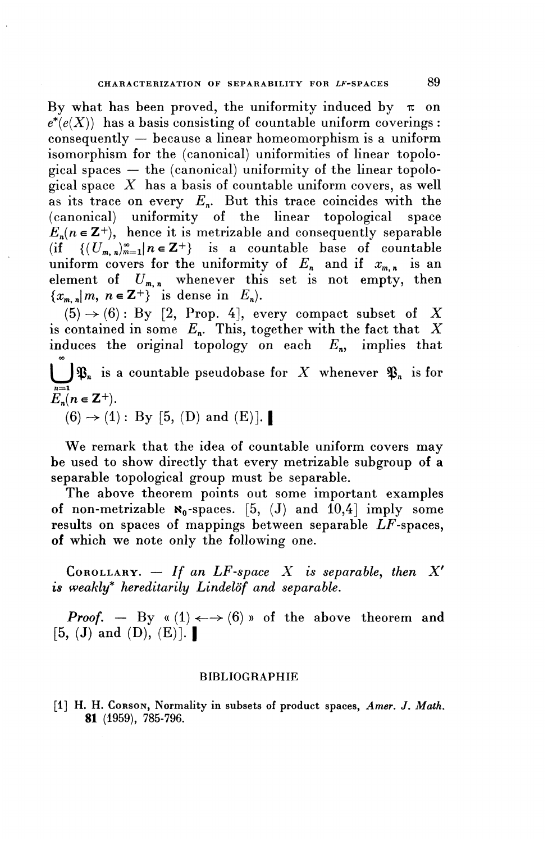By what has been proved, the uniformity induced by  $\pi$  on  $e^*(e(X))$  has a basis consisting of countable uniform coverings : consequently — because a linear homeomorphism is a uniform isomorphism for the (canonical) uniformities of linear topological spaces — the (canonical) uniformity of the linear topological space *X* has a basis of countable uniform covers, as well as its trace on every  $E_n$ . But this trace coincides with the (canonical) uniformity of the linear topological space  $E_n(n \in \mathbb{Z}^+)$ , hence it is metrizable and consequently separable (if  $\{(U_{m,n})_{m=1}^{\infty}|n\in\mathbb{Z}^+\}$  is a countable base of countable uniform covers for the uniformity of  $E_n$  and if  $x_{m,n}$  is an element of  $U_{m,n}$  whenever this set is not empty, then  ${x_{m,n}}|m, n \in \mathbb{Z}^+\}$  is dense in  $E_n$ ).

 $(5) \rightarrow (6)$ : By [2, Prop. 4], every compact subset of X is contained in some  $E_n$ . This, together with the fact that X induces the original topology on each  $E_n$ , implies that 00  $\bigcup^{\infty} \mathfrak{P}_n$  is a countable pseudobase for *X* whenever  $\mathfrak{P}_n$  is for  $E_n(n \in \mathbb{Z}^+).$ duces the original topology on e<br>  $\int \mathfrak{P}_n$  is a countable pseudobase for<br>  $(n \in \mathbb{Z}^+).$ <br>  $(6) \rightarrow (1) : \text{By [5, (D) and (E)].}$ 

**We** remark that the idea of countable uniform covers may be used to show directly that every metrizable subgroup of a separable topological group must be separable.

The above theorem points out some important examples of non-metrizable  $\aleph_0$ -spaces. [5, (J) and 10,4] imply some results on spaces of mappings between separable  $LF$ -spaces, of which we note only the following one.

COROLLARY.  $-$  If an LF-space X is separable, then X' *is weakly\* hereditarily Lindelof and separable.*

*Proof.* — By «  $(1) \leftarrow (6)$  » of the above theorem and COROLLARY.  $-$  If an<br>is weakly<sup>\*</sup> hereditarily Lin<br>Proof.  $-$  By « (1)  $\leftarrow$ -<br>[5, (J) and (D), (E)].

#### BIBLIOGRAPHIE

[1] H. H. CORSON, Normality in subsets of product spaces, *Amer.* J. *Math.* **81** (1959), 785-796.